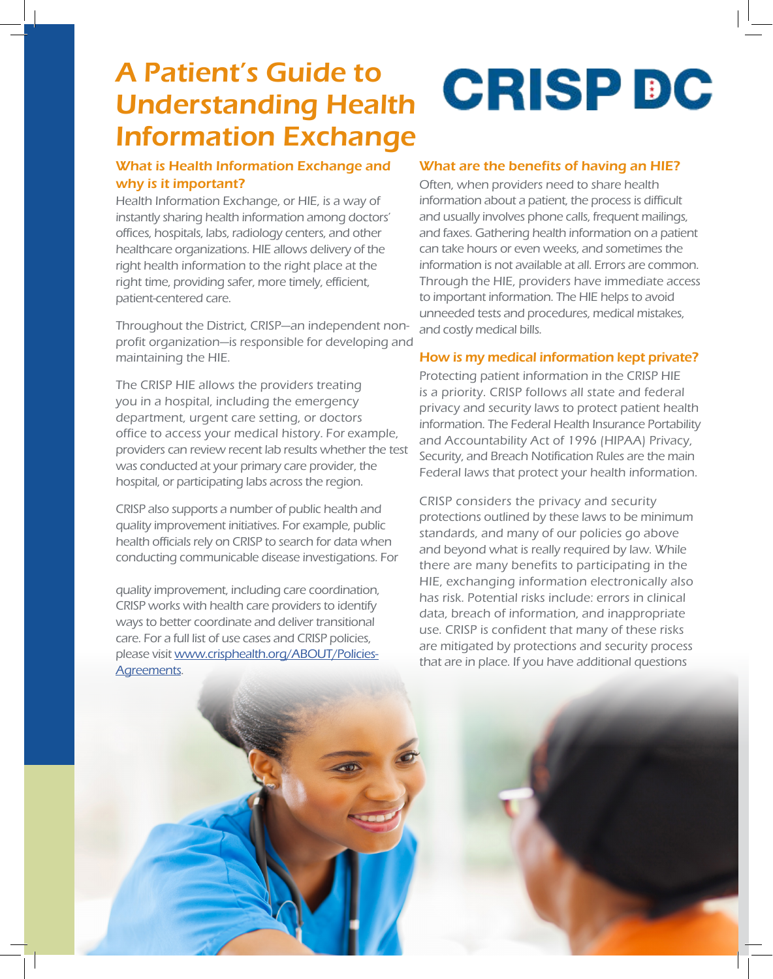# A Patient's Guide to Understanding Health Information Exchange

### What is Health Information Exchange and why is it important?

Health Information Exchange, or HIE, is a way of instantly sharing health information among doctors' offices, hospitals, labs, radiology centers, and other healthcare organizations. HIE allows delivery of the right health information to the right place at the right time, providing safer, more timely, efficient, patient-centered care.

Throughout the District, CRISP—an independent nonprofit organization—is responsible for developing and maintaining the HIE.

The CRISP HIE allows the providers treating you in a hospital, including the emergency department, urgent care setting, or doctors office to access your medical history. For example, providers can review recent lab results whether the test was conducted at your primary care provider, the hospital, or participating labs across the region.

CRISP also supports a number of public health and quality improvement initiatives. For example, public health officials rely on CRISP to search for data when conducting communicable disease investigations. For

quality improvement, including care coordination, CRISP works with health care providers to identify ways to better coordinate and deliver transitional care. For a full list of use cases and CRISP policies, please visit www.crisphealth.org/ABOUT/Policies-Agreements.

## What are the benefits of having an HIE?

**CRISP DC** 

Often, when providers need to share health information about a patient, the process is difficult and usually involves phone calls, frequent mailings, and faxes. Gathering health information on a patient can take hours or even weeks, and sometimes the information is not available at all. Errors are common. Through the HIE, providers have immediate access to important information. The HIE helps to avoid unneeded tests and procedures, medical mistakes, and costly medical bills.

#### How is my medical information kept private?

Protecting patient information in the CRISP HIE is a priority. CRISP follows all state and federal privacy and security laws to protect patient health information. The Federal Health Insurance Portability and Accountability Act of 1996 (HIPAA) Privacy, Security, and Breach Notification Rules are the main Federal laws that protect your health information.

CRISP considers the privacy and security protections outlined by these laws to be minimum standards, and many of our policies go above and beyond what is really required by law. While there are many benefits to participating in the HIE, exchanging information electronically also has risk. Potential risks include: errors in clinical data, breach of information, and inappropriate use. CRISP is confident that many of these risks are mitigated by protections and security process that are in place. If you have additional questions